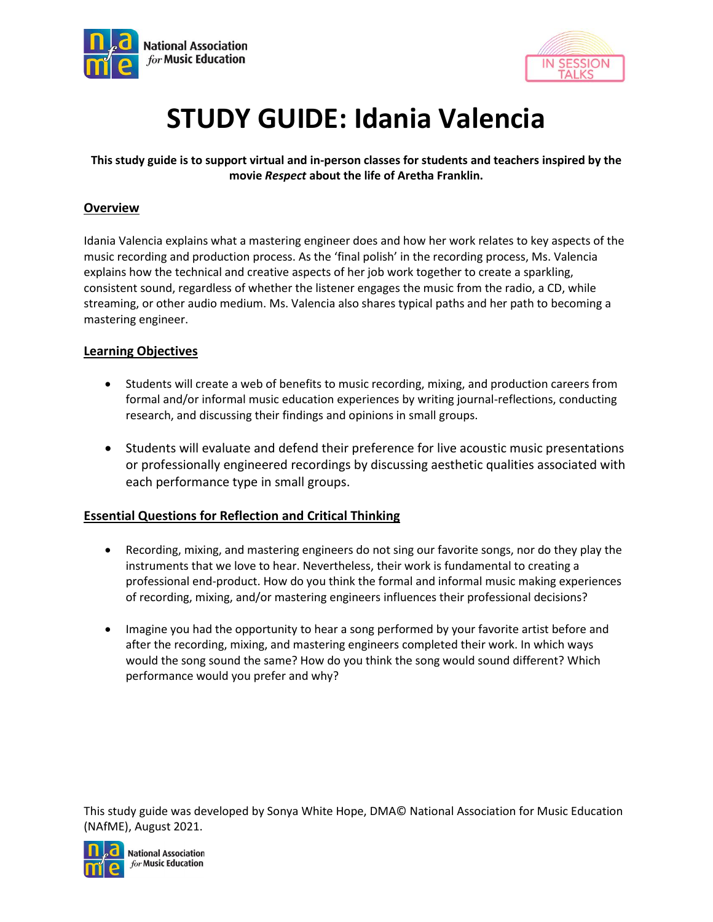



# **STUDY GUIDE: Idania Valencia**

# **This study guide is to support virtual and in-person classes for students and teachers inspired by the movie** *Respect* **about the life of Aretha Franklin.**

# **Overview**

Idania Valencia explains what a mastering engineer does and how her work relates to key aspects of the music recording and production process. As the 'final polish' in the recording process, Ms. Valencia explains how the technical and creative aspects of her job work together to create a sparkling, consistent sound, regardless of whether the listener engages the music from the radio, a CD, while streaming, or other audio medium. Ms. Valencia also shares typical paths and her path to becoming a mastering engineer.

# **Learning Objectives**

- Students will create a web of benefits to music recording, mixing, and production careers from formal and/or informal music education experiences by writing journal-reflections, conducting research, and discussing their findings and opinions in small groups.
- Students will evaluate and defend their preference for live acoustic music presentations or professionally engineered recordings by discussing aesthetic qualities associated with each performance type in small groups.

# **Essential Questions for Reflection and Critical Thinking**

- Recording, mixing, and mastering engineers do not sing our favorite songs, nor do they play the instruments that we love to hear. Nevertheless, their work is fundamental to creating a professional end-product. How do you think the formal and informal music making experiences of recording, mixing, and/or mastering engineers influences their professional decisions?
- Imagine you had the opportunity to hear a song performed by your favorite artist before and after the recording, mixing, and mastering engineers completed their work. In which ways would the song sound the same? How do you think the song would sound different? Which performance would you prefer and why?

This study guide was developed by Sonya White Hope, DMA© National Association for Music Education (NAfME), August 2021.